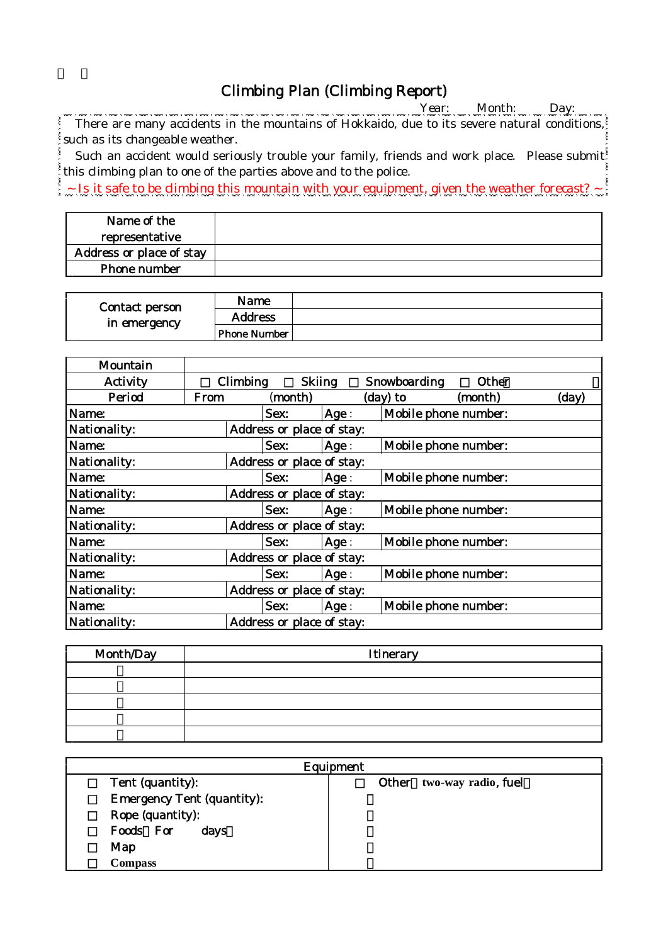## Climbing Plan (Climbing Report)

Year: Month: Day: \_\_

There are many accidents in the mountains of Hokkaido, due to its severe natural conditions, such as its changeable weather.

Such an accident would seriously trouble your family, friends and work place. Please submit this climbing plan to one of the parties above and to the police.

 $\sim$  Is it safe to be climbing this mountain with your equipment, given the weather forecast?  $\sim$ 

| Name of the              |  |
|--------------------------|--|
| representative           |  |
| Address or place of stay |  |
| Phone number             |  |

| Contact person<br>in emergency | Name                |  |
|--------------------------------|---------------------|--|
|                                | <b>Address</b>      |  |
|                                | <b>Phone Number</b> |  |

| Mountain     |                           |                           |      |                      |         |       |
|--------------|---------------------------|---------------------------|------|----------------------|---------|-------|
| Activity     | Climbing                  | <b>Skiing</b>             |      | Snowboarding         | Other   |       |
| Period       | From                      | (month)                   |      | $(day)$ to           | (month) | (day) |
| Name:        |                           | Sex:                      | Age: | Mobile phone number: |         |       |
| Nationality: |                           | Address or place of stay: |      |                      |         |       |
| Name:        |                           | Sex:                      | Age: | Mobile phone number: |         |       |
| Nationality: | Address or place of stay: |                           |      |                      |         |       |
| Name:        |                           | Sex:                      | Age: | Mobile phone number: |         |       |
| Nationality: | Address or place of stay: |                           |      |                      |         |       |
| Name:        |                           | Sex:                      | Age: | Mobile phone number: |         |       |
| Nationality: | Address or place of stay: |                           |      |                      |         |       |
| Name:        |                           | Sex:                      | Age: | Mobile phone number: |         |       |
| Nationality: | Address or place of stay: |                           |      |                      |         |       |
| Name:        |                           | Sex:                      | Age: | Mobile phone number: |         |       |
| Nationality: | Address or place of stay: |                           |      |                      |         |       |
| Name:        |                           | Sex:                      | Age: | Mobile phone number: |         |       |
| Nationality: | Address or place of stay: |                           |      |                      |         |       |

| Month/Day | Itinerary |
|-----------|-----------|
|           |           |
|           |           |
|           |           |
|           |           |
|           |           |

| Equipment                         |                           |  |  |  |
|-----------------------------------|---------------------------|--|--|--|
| Tent (quantity):                  | Other two-way radio, fuel |  |  |  |
| <b>Emergency Tent (quantity):</b> |                           |  |  |  |
| Rope (quantity):                  |                           |  |  |  |
| Foods For<br>days                 |                           |  |  |  |
| Map                               |                           |  |  |  |
| <b>Compass</b>                    |                           |  |  |  |